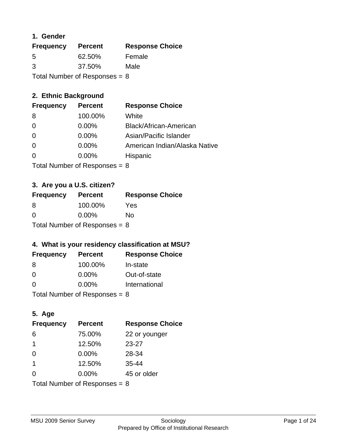## **1. Gender**

| <b>Frequency</b>                | <b>Percent</b> | <b>Response Choice</b> |
|---------------------------------|----------------|------------------------|
| 5                               | 62.50%         | Female                 |
| 3                               | 37.50%         | Male                   |
| Total Number of Responses = $8$ |                |                        |

## **2. Ethnic Background**

| <b>Frequency</b> | <b>Percent</b> | <b>Response Choice</b>        |
|------------------|----------------|-------------------------------|
| -8               | 100.00%        | White                         |
| $\Omega$         | $0.00\%$       | Black/African-American        |
| $\Omega$         | 0.00%          | Asian/Pacific Islander        |
| 0                | 0.00%          | American Indian/Alaska Native |
|                  | 0.00%          | Hispanic                      |
|                  |                |                               |

Total Number of Responses = 8

## **3. Are you a U.S. citizen?**

| <b>Frequency</b>                | <b>Percent</b> | <b>Response Choice</b> |
|---------------------------------|----------------|------------------------|
| -8                              | 100.00%        | Yes                    |
| $\Omega$                        | $0.00\%$       | Nο                     |
| Total Number of Responses = $8$ |                |                        |

## **4. What is your residency classification at MSU?**

| <b>Frequency</b> | <b>Percent</b> | <b>Response Choice</b> |
|------------------|----------------|------------------------|
| -8               | 100.00%        | In-state               |
| 0                | $0.00\%$       | Out-of-state           |
| $\Omega$         | $0.00\%$       | International          |
|                  |                |                        |

Total Number of Responses =  $8$ 

## **5. Age**

| <b>Frequency</b>                | <b>Percent</b> | <b>Response Choice</b> |
|---------------------------------|----------------|------------------------|
| 6                               | 75.00%         | 22 or younger          |
| 1                               | 12.50%         | $23 - 27$              |
| $\Omega$                        | 0.00%          | 28-34                  |
| $\overline{1}$                  | 12.50%         | $35 - 44$              |
| $\Omega$                        | 0.00%          | 45 or older            |
| Total Number of Responses = $8$ |                |                        |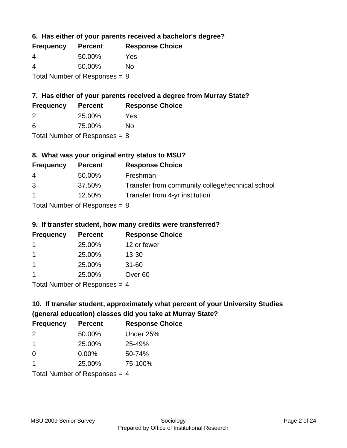**6. Has either of your parents received a bachelor's degree?**

| <b>Frequency</b> | <b>Percent</b>                  | <b>Response Choice</b> |
|------------------|---------------------------------|------------------------|
| 4                | 50.00%                          | Yes                    |
| 4                | 50.00%                          | Nο                     |
|                  | Total Number of Responses = $8$ |                        |

# **7. Has either of your parents received a degree from Murray State?**

| <b>Frequency</b> | <b>Percent</b> | <b>Response Choice</b> |
|------------------|----------------|------------------------|
|                  | 25.00%         | Yes                    |

| 6 | 75.00% | No |
|---|--------|----|

Total Number of Responses = 8

## **8. What was your original entry status to MSU?**

| <b>Frequency</b> | <b>Percent</b>                                                     | <b>Response Choice</b>                           |
|------------------|--------------------------------------------------------------------|--------------------------------------------------|
| 4                | 50.00%                                                             | Freshman                                         |
| 3                | 37.50%                                                             | Transfer from community college/technical school |
| $\mathbf{1}$     | 12.50%                                                             | Transfer from 4-yr institution                   |
|                  | $T_{\rm eff}$ . The set of $R_{\rm eff}$ is a set of $R_{\rm eff}$ |                                                  |

Total Number of Responses = 8

## **9. If transfer student, how many credits were transferred?**

| <b>Frequency</b> | <b>Percent</b>            | <b>Response Choice</b> |
|------------------|---------------------------|------------------------|
|                  | 25.00%                    | 12 or fewer            |
|                  | 25.00%                    | $13 - 30$              |
|                  | 25.00%                    | $31 - 60$              |
|                  | 25.00%                    | Over <sub>60</sub>     |
|                  | Total Number of Deepersee |                        |

Total Number of Responses = 4

# **10. If transfer student, approximately what percent of your University Studies (general education) classes did you take at Murray State?**

| <b>Frequency</b>                | <b>Percent</b> | <b>Response Choice</b> |
|---------------------------------|----------------|------------------------|
| $\mathcal{P}$                   | 50.00%         | Under 25%              |
| -1                              | 25.00%         | 25-49%                 |
| $\Omega$                        | 0.00%          | 50-74%                 |
| 1                               | 25.00%         | 75-100%                |
| Total Number of Responses $=$ 4 |                |                        |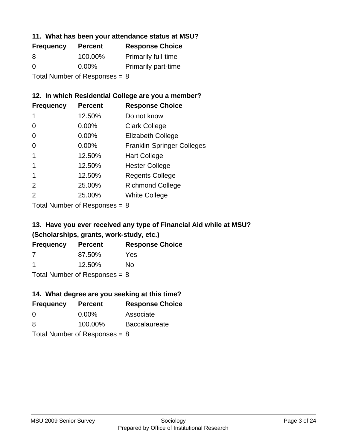#### **11. What has been your attendance status at MSU?**

| <b>Frequency</b>                | <b>Percent</b> | <b>Response Choice</b>     |
|---------------------------------|----------------|----------------------------|
| 8                               | 100.00%        | <b>Primarily full-time</b> |
| $\Omega$                        | $0.00\%$       | <b>Primarily part-time</b> |
| Total Number of Responses = $8$ |                |                            |

## **12. In which Residential College are you a member?**

| <b>Frequency</b> | <b>Percent</b> | <b>Response Choice</b>            |
|------------------|----------------|-----------------------------------|
| 1                | 12.50%         | Do not know                       |
| 0                | 0.00%          | <b>Clark College</b>              |
| 0                | 0.00%          | <b>Elizabeth College</b>          |
| 0                | $0.00\%$       | <b>Franklin-Springer Colleges</b> |
|                  | 12.50%         | <b>Hart College</b>               |
|                  | 12.50%         | <b>Hester College</b>             |
|                  | 12.50%         | <b>Regents College</b>            |
| $\mathcal{P}$    | 25.00%         | <b>Richmond College</b>           |
| 2                | 25.00%         | <b>White College</b>              |

Total Number of Responses = 8

## **13. Have you ever received any type of Financial Aid while at MSU? (Scholarships, grants, work-study, etc.)**

| <b>Frequency</b> | <b>Percent</b> | <b>Response Choice</b> |
|------------------|----------------|------------------------|
| 7                | 87.50%         | Yes                    |
| -1               | 12.50%         | No.                    |
|                  |                |                        |

Total Number of Responses = 8

## **14. What degree are you seeking at this time?**

| <b>Frequency</b> | <b>Percent</b>                  | <b>Response Choice</b> |
|------------------|---------------------------------|------------------------|
| $\Omega$         | $0.00\%$                        | Associate              |
| 8                | 100.00%                         | <b>Baccalaureate</b>   |
|                  | Total Number of Responses = $8$ |                        |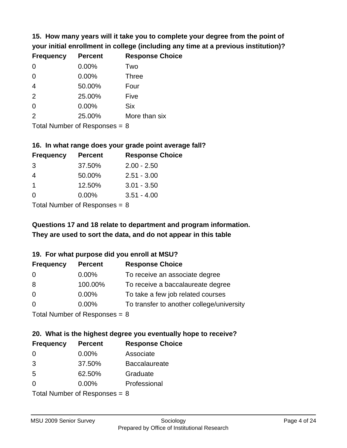**15. How many years will it take you to complete your degree from the point of your initial enrollment in college (including any time at a previous institution)?**

| <b>Frequency</b> | <b>Percent</b> | <b>Response Choice</b> |
|------------------|----------------|------------------------|
| $\Omega$         | 0.00%          | Two                    |
| 0                | 0.00%          | <b>Three</b>           |
| $\overline{4}$   | 50.00%         | Four                   |
| 2                | 25.00%         | Five                   |
| $\Omega$         | 0.00%          | <b>Six</b>             |
| 2                | 25.00%         | More than six          |
|                  |                |                        |

Total Number of Responses = 8

#### **16. In what range does your grade point average fall?**

| <b>Frequency</b> | <b>Percent</b> | <b>Response Choice</b> |
|------------------|----------------|------------------------|
| -3               | 37.50%         | $2.00 - 2.50$          |
| 4                | 50.00%         | $2.51 - 3.00$          |
| 1                | 12.50%         | $3.01 - 3.50$          |
| 0                | 0.00%          | $3.51 - 4.00$          |
|                  |                |                        |

Total Number of Responses = 8

# **They are used to sort the data, and do not appear in this table Questions 17 and 18 relate to department and program information.**

#### **19. For what purpose did you enroll at MSU?**

| <b>Frequency</b>            | <b>Percent</b> | <b>Response Choice</b>                    |
|-----------------------------|----------------|-------------------------------------------|
| 0                           | $0.00\%$       | To receive an associate degree            |
| 8                           | 100.00%        | To receive a baccalaureate degree         |
| $\overline{0}$              | $0.00\%$       | To take a few job related courses         |
| $\Omega$                    | $0.00\%$       | To transfer to another college/university |
| Total Number of Deepensee 0 |                |                                           |

Total Number of Responses = 8

# **20. What is the highest degree you eventually hope to receive?**

| <b>Frequency</b> | <b>Percent</b>            | <b>Response Choice</b> |
|------------------|---------------------------|------------------------|
| 0                | 0.00%                     | Associate              |
| 3                | 37.50%                    | <b>Baccalaureate</b>   |
| 5                | 62.50%                    | Graduate               |
| $\Omega$         | $0.00\%$                  | Professional           |
|                  | Total Number of Despanses |                        |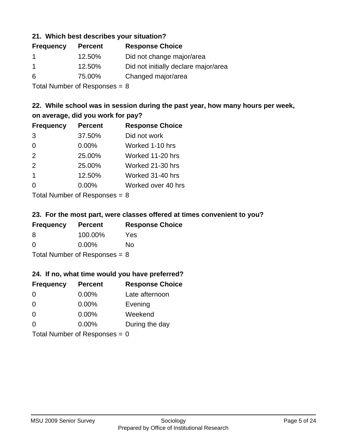#### **21. Which best describes your situation?**

| <b>Frequency</b> | <b>Percent</b> | <b>Response Choice</b>               |
|------------------|----------------|--------------------------------------|
|                  | 12.50%         | Did not change major/area            |
| -1               | 12.50%         | Did not initially declare major/area |
| 6                | 75.00%         | Changed major/area                   |
|                  |                |                                      |

Total Number of Responses = 8

## **22. While school was in session during the past year, how many hours per week, on average, did you work for pay?**

| <b>Frequency</b>        | <b>Percent</b> | <b>Response Choice</b> |
|-------------------------|----------------|------------------------|
| 3                       | 37.50%         | Did not work           |
| $\Omega$                | 0.00%          | Worked 1-10 hrs        |
| 2                       | 25.00%         | Worked 11-20 hrs       |
| 2                       | 25.00%         | Worked 21-30 hrs       |
| $\overline{\mathbf{1}}$ | 12.50%         | Worked 31-40 hrs       |
| $\Omega$                | 0.00%          | Worked over 40 hrs     |
|                         |                |                        |

Total Number of Responses = 8

#### **23. For the most part, were classes offered at times convenient to you?**

| <b>Frequency</b>                | <b>Percent</b> | <b>Response Choice</b> |
|---------------------------------|----------------|------------------------|
| 8                               | 100.00%        | Yes                    |
| $\Omega$                        | $0.00\%$       | Nο                     |
| Total Number of Responses = $8$ |                |                        |

#### **24. If no, what time would you have preferred?**

| <b>Frequency</b> | <b>Percent</b>                  | <b>Response Choice</b> |
|------------------|---------------------------------|------------------------|
| $\Omega$         | $0.00\%$                        | Late afternoon         |
| $\Omega$         | 0.00%                           | Evening                |
| 0                | $0.00\%$                        | Weekend                |
| $\Omega$         | $0.00\%$                        | During the day         |
|                  | Total Number of Responses = $0$ |                        |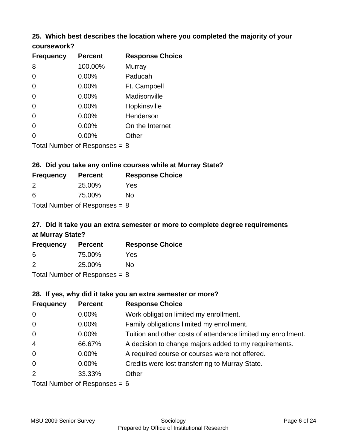#### **25. Which best describes the location where you completed the majority of your coursework?**

| <b>Frequency</b> | <b>Percent</b>             | <b>Response Choice</b> |
|------------------|----------------------------|------------------------|
| 8                | 100.00%                    | <b>Murray</b>          |
| $\overline{0}$   | 0.00%                      | Paducah                |
| 0                | 0.00%                      | Ft. Campbell           |
| $\overline{0}$   | 0.00%                      | Madisonville           |
| $\overline{0}$   | 0.00%                      | Hopkinsville           |
| 0                | 0.00%                      | Henderson              |
| 0                | 0.00%                      | On the Internet        |
| 0                | 0.00%                      | Other                  |
|                  | Tetal Number of Desperance | ົ                      |

Total Number of Responses = 8

## **26. Did you take any online courses while at Murray State?**

| <b>Frequency</b>                | <b>Percent</b> | <b>Response Choice</b> |  |  |
|---------------------------------|----------------|------------------------|--|--|
| 2                               | 25.00%         | Yes                    |  |  |
| -6                              | 75.00%         | No                     |  |  |
| Total Number of Responses $= 8$ |                |                        |  |  |

# **27. Did it take you an extra semester or more to complete degree requirements at Murray State?**

| <b>Frequency</b> | <b>Percent</b>             | <b>Response Choice</b> |
|------------------|----------------------------|------------------------|
| 6                | 75.00%                     | Yes                    |
| 2                | 25.00%                     | No                     |
|                  | Tatal Number of Desperance |                        |

Total Number of Responses = 8

#### **28. If yes, why did it take you an extra semester or more?**

| <b>Frequency</b>               | <b>Percent</b> | <b>Response Choice</b>                                       |  |
|--------------------------------|----------------|--------------------------------------------------------------|--|
| $\mathbf 0$                    | 0.00%          | Work obligation limited my enrollment.                       |  |
| $\mathbf 0$                    | $0.00\%$       | Family obligations limited my enrollment.                    |  |
| $\overline{0}$                 | $0.00\%$       | Tuition and other costs of attendance limited my enrollment. |  |
| $\overline{4}$                 | 66.67%         | A decision to change majors added to my requirements.        |  |
| $\overline{0}$                 | 0.00%          | A required course or courses were not offered.               |  |
| $\overline{0}$                 | $0.00\%$       | Credits were lost transferring to Murray State.              |  |
| 2                              | 33.33%         | Other                                                        |  |
| Total Number of Responses $-6$ |                |                                                              |  |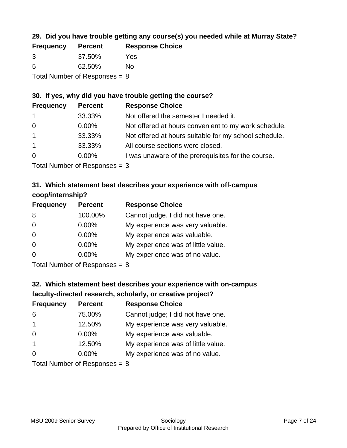## **29. Did you have trouble getting any course(s) you needed while at Murray State?**

| <b>Frequency</b>                | <b>Percent</b> | <b>Response Choice</b> |  |  |
|---------------------------------|----------------|------------------------|--|--|
| -3                              | 37.50%         | Yes                    |  |  |
| -5                              | 62.50%         | No.                    |  |  |
| Total Number of Responses = $8$ |                |                        |  |  |

#### **30. If yes, why did you have trouble getting the course?**

| <b>Frequency</b> | <b>Percent</b> | <b>Response Choice</b>                                |
|------------------|----------------|-------------------------------------------------------|
| $\overline{1}$   | 33.33%         | Not offered the semester I needed it.                 |
| $\overline{0}$   | $0.00\%$       | Not offered at hours convenient to my work schedule.  |
| $\overline{1}$   | 33.33%         | Not offered at hours suitable for my school schedule. |
| $\overline{1}$   | 33.33%         | All course sections were closed.                      |
| $\overline{0}$   | $0.00\%$       | I was unaware of the prerequisites for the course.    |
|                  |                |                                                       |

Total Number of Responses = 3

## **31. Which statement best describes your experience with off-campus coop/internship?**

| <b>Frequency</b> | <b>Percent</b> | <b>Response Choice</b>             |
|------------------|----------------|------------------------------------|
| 8                | 100.00%        | Cannot judge, I did not have one.  |
| $\Omega$         | 0.00%          | My experience was very valuable.   |
| $\Omega$         | $0.00\%$       | My experience was valuable.        |
| $\overline{0}$   | 0.00%          | My experience was of little value. |
| $\Omega$         | 0.00%          | My experience was of no value.     |
|                  |                |                                    |

Total Number of Responses = 8

# **32. Which statement best describes your experience with on-campus faculty-directed research, scholarly, or creative project?**

| <b>Frequency</b> | <b>Percent</b>              | <b>Response Choice</b>             |
|------------------|-----------------------------|------------------------------------|
| 6                | 75.00%                      | Cannot judge; I did not have one.  |
| $\overline{1}$   | 12.50%                      | My experience was very valuable.   |
| $\Omega$         | $0.00\%$                    | My experience was valuable.        |
| $\overline{1}$   | 12.50%                      | My experience was of little value. |
| $\Omega$         | 0.00%                       | My experience was of no value.     |
|                  | Total Number of Despesses 0 |                                    |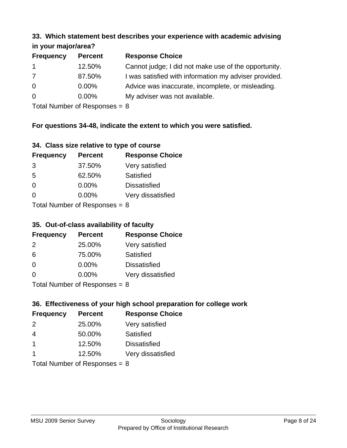#### **33. Which statement best describes your experience with academic advising in your major/area?**

| $\mathbf{u}$ yvu $\mathbf{u}$ yvu $\mathbf{v}$ |                |                                                       |
|------------------------------------------------|----------------|-------------------------------------------------------|
| <b>Frequency</b>                               | <b>Percent</b> | <b>Response Choice</b>                                |
| $\mathbf 1$                                    | 12.50%         | Cannot judge; I did not make use of the opportunity.  |
| 7                                              | 87.50%         | I was satisfied with information my adviser provided. |
| $\overline{0}$                                 | 0.00%          | Advice was inaccurate, incomplete, or misleading.     |
| $\overline{0}$                                 | 0.00%          | My adviser was not available.                         |
|                                                |                |                                                       |

Total Number of Responses = 8

## **For questions 34-48, indicate the extent to which you were satisfied.**

| 34. Class size relative to type of course |  |  |  |  |  |  |  |  |
|-------------------------------------------|--|--|--|--|--|--|--|--|
|-------------------------------------------|--|--|--|--|--|--|--|--|

| <b>Frequency</b>              | <b>Percent</b> | <b>Response Choice</b> |  |  |
|-------------------------------|----------------|------------------------|--|--|
| 3                             | 37.50%         | Very satisfied         |  |  |
| -5                            | 62.50%         | Satisfied              |  |  |
| $\Omega$                      | $0.00\%$       | <b>Dissatisfied</b>    |  |  |
| $\Omega$                      | $0.00\%$       | Very dissatisfied      |  |  |
| $Total Number of Denance = 9$ |                |                        |  |  |

Total Number of Responses = 8

## **35. Out-of-class availability of faculty**

| <b>Frequency</b> | <b>Percent</b>            | <b>Response Choice</b> |
|------------------|---------------------------|------------------------|
| $\mathcal{P}$    | 25.00%                    | Very satisfied         |
| 6                | 75.00%                    | Satisfied              |
| $\Omega$         | $0.00\%$                  | <b>Dissatisfied</b>    |
| $\Omega$         | $0.00\%$                  | Very dissatisfied      |
|                  | Total Number of Deepensee |                        |

Total Number of Responses = 8

## **36. Effectiveness of your high school preparation for college work**

| <b>Frequency</b>                | <b>Percent</b> | <b>Response Choice</b> |  |  |
|---------------------------------|----------------|------------------------|--|--|
| $\mathcal{P}$                   | 25.00%         | Very satisfied         |  |  |
| $\overline{4}$                  | 50.00%         | Satisfied              |  |  |
| -1                              | 12.50%         | <b>Dissatisfied</b>    |  |  |
| -1                              | 12.50%         | Very dissatisfied      |  |  |
| Total Number of Responses = $8$ |                |                        |  |  |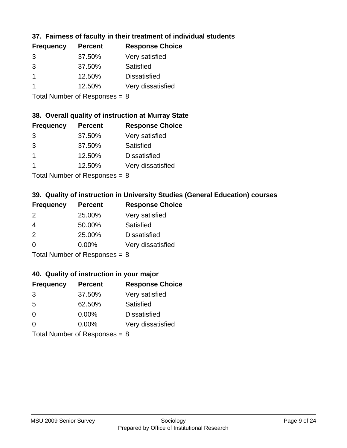## **37. Fairness of faculty in their treatment of individual students**

| <b>Frequency</b> | <b>Percent</b> | <b>Response Choice</b> |
|------------------|----------------|------------------------|
| 3                | 37.50%         | Very satisfied         |
| 3                | 37.50%         | Satisfied              |
|                  | 12.50%         | <b>Dissatisfied</b>    |
|                  | 12.50%         | Very dissatisfied      |
|                  |                |                        |

Total Number of Responses = 8

#### **38. Overall quality of instruction at Murray State**

| <b>Frequency</b> | <b>Percent</b> | <b>Response Choice</b> |
|------------------|----------------|------------------------|
| 3                | 37.50%         | Very satisfied         |
| 3                | 37.50%         | Satisfied              |
|                  | 12.50%         | <b>Dissatisfied</b>    |
|                  | 12.50%         | Very dissatisfied      |
|                  |                |                        |

Total Number of Responses  $= 8$ 

## **39. Quality of instruction in University Studies (General Education) courses**

| <b>Frequency</b> | <b>Percent</b>              | <b>Response Choice</b> |
|------------------|-----------------------------|------------------------|
| $\mathcal{P}$    | 25.00%                      | Very satisfied         |
| 4                | 50.00%                      | Satisfied              |
| 2                | 25.00%                      | <b>Dissatisfied</b>    |
| $\Omega$         | 0.00%                       | Very dissatisfied      |
|                  | Tatal Massakan af Dagmannar |                        |

Total Number of Responses = 8

#### **40. Quality of instruction in your major**

| <b>Frequency</b> | <b>Percent</b>            | <b>Response Choice</b> |
|------------------|---------------------------|------------------------|
| 3                | 37.50%                    | Very satisfied         |
| 5                | 62.50%                    | Satisfied              |
| $\Omega$         | $0.00\%$                  | <b>Dissatisfied</b>    |
| $\Omega$         | 0.00%                     | Very dissatisfied      |
|                  | Total Number of Deepersee |                        |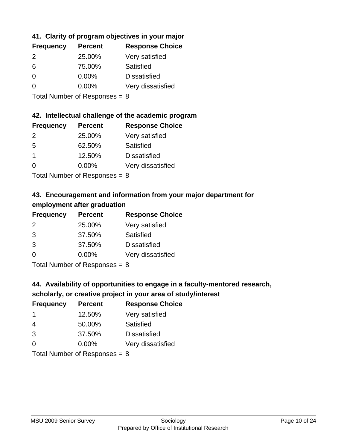## **41. Clarity of program objectives in your major**

| <b>Frequency</b> | <b>Percent</b> | <b>Response Choice</b> |
|------------------|----------------|------------------------|
| $\mathcal{P}$    | 25.00%         | Very satisfied         |
| 6                | 75.00%         | Satisfied              |
| $\Omega$         | $0.00\%$       | <b>Dissatisfied</b>    |
| n                | $0.00\%$       | Very dissatisfied      |
|                  |                |                        |

Total Number of Responses = 8

#### **42. Intellectual challenge of the academic program**

| <b>Frequency</b> | <b>Percent</b> | <b>Response Choice</b> |
|------------------|----------------|------------------------|
| $\mathcal{P}$    | 25.00%         | Very satisfied         |
| .5               | 62.50%         | Satisfied              |
|                  | 12.50%         | <b>Dissatisfied</b>    |
| $\Omega$         | 0.00%          | Very dissatisfied      |
|                  |                |                        |

Total Number of Responses = 8

## **43. Encouragement and information from your major department for employment after graduation**

| <b>Frequency</b> | <b>Percent</b> | <b>Response Choice</b> |
|------------------|----------------|------------------------|
| 2                | 25.00%         | Very satisfied         |
| 3                | 37.50%         | Satisfied              |
| 3                | 37.50%         | <b>Dissatisfied</b>    |
| $\Omega$         | 0.00%          | Very dissatisfied      |
|                  |                |                        |

Total Number of Responses = 8

## **44. Availability of opportunities to engage in a faculty-mentored research,**

## **scholarly, or creative project in your area of study/interest**

| <b>Frequency</b> | <b>Percent</b> | <b>Response Choice</b> |
|------------------|----------------|------------------------|
|                  | 12.50%         | Very satisfied         |
| 4                | 50.00%         | Satisfied              |
| 3                | 37.50%         | <b>Dissatisfied</b>    |
| ∩                | 0.00%          | Very dissatisfied      |
|                  |                |                        |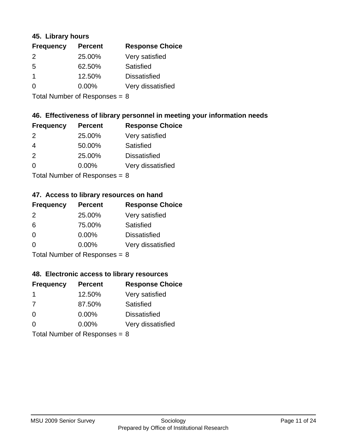#### **45. Library hours**

| <b>Frequency</b> | <b>Percent</b> | <b>Response Choice</b> |
|------------------|----------------|------------------------|
| 2                | 25.00%         | Very satisfied         |
| 5                | 62.50%         | Satisfied              |
| -1               | 12.50%         | <b>Dissatisfied</b>    |
| 0                | 0.00%          | Very dissatisfied      |
|                  |                |                        |

Total Number of Responses = 8

#### **46. Effectiveness of library personnel in meeting your information needs**

| <b>Frequency</b> | <b>Percent</b> | <b>Response Choice</b> |
|------------------|----------------|------------------------|
| $\mathcal{P}$    | 25.00%         | Very satisfied         |
| 4                | 50.00%         | Satisfied              |
| $\mathcal{P}$    | 25.00%         | <b>Dissatisfied</b>    |
| $\Omega$         | $0.00\%$       | Very dissatisfied      |
|                  |                |                        |

Total Number of Responses = 8

## **47. Access to library resources on hand**

| <b>Frequency</b> | <b>Percent</b>            | <b>Response Choice</b> |
|------------------|---------------------------|------------------------|
| $\mathcal{P}$    | 25.00%                    | Very satisfied         |
| 6                | 75.00%                    | Satisfied              |
| $\Omega$         | $0.00\%$                  | <b>Dissatisfied</b>    |
| ∩                | 0.00%                     | Very dissatisfied      |
|                  | Total Number of Deepensee |                        |

Total Number of Responses = 8

#### **48. Electronic access to library resources**

| <b>Frequency</b>                | <b>Percent</b> | <b>Response Choice</b> |
|---------------------------------|----------------|------------------------|
| -1                              | 12.50%         | Very satisfied         |
| 7                               | 87.50%         | Satisfied              |
| $\Omega$                        | $0.00\%$       | <b>Dissatisfied</b>    |
| ∩                               | $0.00\%$       | Very dissatisfied      |
| Total Number of Responses = $8$ |                |                        |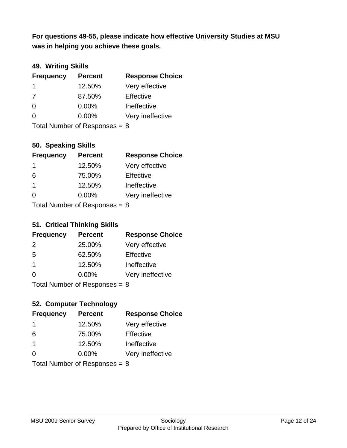**was in helping you achieve these goals. For questions 49-55, please indicate how effective University Studies at MSU** 

## **49. Writing Skills**

| <b>Frequency</b>                | <b>Percent</b> | <b>Response Choice</b> |
|---------------------------------|----------------|------------------------|
| $\mathbf 1$                     | 12.50%         | Very effective         |
| 7                               | 87.50%         | Effective              |
| $\Omega$                        | $0.00\%$       | Ineffective            |
| $\Omega$                        | $0.00\%$       | Very ineffective       |
| Total Number of Responses = $8$ |                |                        |

## **50. Speaking Skills**

| <b>Frequency</b> | <b>Percent</b>             | <b>Response Choice</b> |
|------------------|----------------------------|------------------------|
| -1               | 12.50%                     | Very effective         |
| 6                | 75.00%                     | Effective              |
| -1               | 12.50%                     | Ineffective            |
| ∩                | 0.00%                      | Very ineffective       |
|                  | Total Number of Denonone – |                        |

Total Number of Responses = 8

#### **51. Critical Thinking Skills**

| <b>Frequency</b> | <b>Percent</b>            | <b>Response Choice</b> |
|------------------|---------------------------|------------------------|
| 2                | 25.00%                    | Very effective         |
| -5               | 62.50%                    | Effective              |
| $\mathbf 1$      | 12.50%                    | Ineffective            |
| $\Omega$         | 0.00%                     | Very ineffective       |
|                  | Total Number of Deepensee |                        |

Total Number of Responses = 8

## **52. Computer Technology**

| <b>Frequency</b>                | <b>Percent</b> | <b>Response Choice</b> |
|---------------------------------|----------------|------------------------|
| -1                              | 12.50%         | Very effective         |
| 6                               | 75.00%         | Effective              |
| $\overline{1}$                  | 12.50%         | Ineffective            |
| $\Omega$                        | $0.00\%$       | Very ineffective       |
| Total Number of Responses = $8$ |                |                        |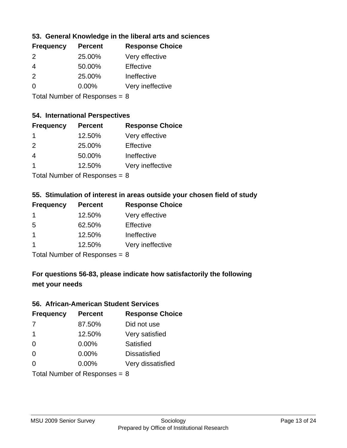## **53. General Knowledge in the liberal arts and sciences**

| <b>Frequency</b> | <b>Percent</b> | <b>Response Choice</b> |
|------------------|----------------|------------------------|
| $\mathcal{P}$    | 25.00%         | Very effective         |
| 4                | 50.00%         | Effective              |
| $\mathcal{P}$    | 25.00%         | Ineffective            |
| $\Omega$         | $0.00\%$       | Very ineffective       |
|                  |                |                        |

Total Number of Responses = 8

## **54. International Perspectives**

| <b>Frequency</b> | <b>Percent</b> | <b>Response Choice</b> |
|------------------|----------------|------------------------|
| -1               | 12.50%         | Very effective         |
| $\mathcal{P}$    | 25.00%         | Effective              |
| 4                | 50.00%         | Ineffective            |
| 1                | 12.50%         | Very ineffective       |
|                  |                |                        |

Total Number of Responses  $= 8$ 

## **55. Stimulation of interest in areas outside your chosen field of study**

| <b>Frequency</b> | <b>Percent</b>                            | <b>Response Choice</b> |
|------------------|-------------------------------------------|------------------------|
|                  | 12.50%                                    | Very effective         |
| 5                | 62.50%                                    | Effective              |
| 1                | 12.50%                                    | Ineffective            |
|                  | 12.50%                                    | Very ineffective       |
|                  | $T$ at all Message and $D$ a are a sea as |                        |

Total Number of Responses = 8

# **For questions 56-83, please indicate how satisfactorily the following met your needs**

#### **56. African-American Student Services**

| <b>Frequency</b> | <b>Percent</b>                  | <b>Response Choice</b> |
|------------------|---------------------------------|------------------------|
| 7                | 87.50%                          | Did not use            |
| -1               | 12.50%                          | Very satisfied         |
| $\Omega$         | 0.00%                           | Satisfied              |
| $\Omega$         | 0.00%                           | <b>Dissatisfied</b>    |
| $\Omega$         | $0.00\%$                        | Very dissatisfied      |
|                  | Total Number of Responses = $8$ |                        |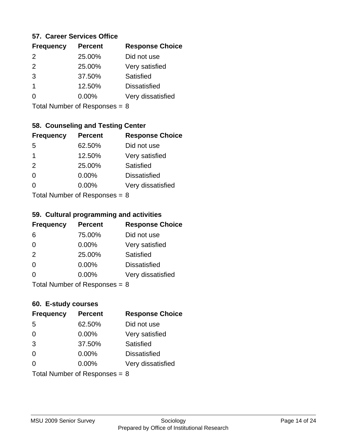#### **57. Career Services Office**

| <b>Frequency</b> | <b>Percent</b> | <b>Response Choice</b> |
|------------------|----------------|------------------------|
| $\mathcal{P}$    | 25.00%         | Did not use            |
| 2                | 25.00%         | Very satisfied         |
| 3                | 37.50%         | <b>Satisfied</b>       |
| 1                | 12.50%         | <b>Dissatisfied</b>    |
|                  | $0.00\%$       | Very dissatisfied      |
|                  |                |                        |

Total Number of Responses = 8

## **58. Counseling and Testing Center**

| <b>Frequency</b>          | <b>Percent</b> | <b>Response Choice</b> |
|---------------------------|----------------|------------------------|
| -5                        | 62.50%         | Did not use            |
| 1                         | 12.50%         | Very satisfied         |
| 2                         | 25.00%         | <b>Satisfied</b>       |
| $\Omega$                  | 0.00%          | <b>Dissatisfied</b>    |
| 0                         | $0.00\%$       | Very dissatisfied      |
| Total Number of Desponses |                |                        |

Total Number of Responses = 8

#### **59. Cultural programming and activities**

| <b>Frequency</b>                | <b>Percent</b> | <b>Response Choice</b> |
|---------------------------------|----------------|------------------------|
| 6                               | 75.00%         | Did not use            |
| $\Omega$                        | 0.00%          | Very satisfied         |
| 2                               | 25.00%         | Satisfied              |
| $\Omega$                        | $0.00\%$       | <b>Dissatisfied</b>    |
| $\Omega$                        | $0.00\%$       | Very dissatisfied      |
| Total Number of Responses = $8$ |                |                        |

#### **60. E-study courses**

| <b>Frequency</b> | <b>Percent</b>                  | <b>Response Choice</b> |
|------------------|---------------------------------|------------------------|
| 5                | 62.50%                          | Did not use            |
| $\Omega$         | 0.00%                           | Very satisfied         |
| 3                | 37.50%                          | Satisfied              |
| $\Omega$         | 0.00%                           | <b>Dissatisfied</b>    |
| ∩                | $0.00\%$                        | Very dissatisfied      |
|                  | Total Number of Responses = $8$ |                        |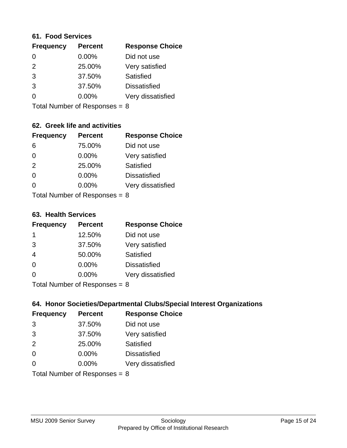#### **61. Food Services**

| <b>Frequency</b> | <b>Percent</b> | <b>Response Choice</b> |
|------------------|----------------|------------------------|
| 0                | 0.00%          | Did not use            |
| $\mathcal{P}$    | 25.00%         | Very satisfied         |
| 3                | 37.50%         | Satisfied              |
| 3                | 37.50%         | <b>Dissatisfied</b>    |
| ∩                | 0.00%          | Very dissatisfied      |
|                  |                |                        |

Total Number of Responses = 8

## **62. Greek life and activities**

| <b>Frequency</b> | <b>Percent</b>                  | <b>Response Choice</b> |
|------------------|---------------------------------|------------------------|
| 6                | 75.00%                          | Did not use            |
| 0                | 0.00%                           | Very satisfied         |
| 2                | 25.00%                          | Satisfied              |
| $\Omega$         | 0.00%                           | <b>Dissatisfied</b>    |
| O                | $0.00\%$                        | Very dissatisfied      |
|                  | Total Number of Responses = $8$ |                        |

**63. Health Services**

| <b>Frequency</b> | <b>Percent</b>            | <b>Response Choice</b> |
|------------------|---------------------------|------------------------|
| -1               | 12.50%                    | Did not use            |
| 3                | 37.50%                    | Very satisfied         |
| $\overline{4}$   | 50.00%                    | <b>Satisfied</b>       |
| $\Omega$         | 0.00%                     | <b>Dissatisfied</b>    |
| $\Omega$         | 0.00%                     | Very dissatisfied      |
|                  | Total Number of Deepersee | ິດ                     |

Total Number of Responses = 8

## **64. Honor Societies/Departmental Clubs/Special Interest Organizations**

| <b>Frequency</b> | <b>Percent</b>                  | <b>Response Choice</b> |
|------------------|---------------------------------|------------------------|
| 3                | 37.50%                          | Did not use            |
| 3                | 37.50%                          | Very satisfied         |
| 2                | 25.00%                          | Satisfied              |
| $\Omega$         | 0.00%                           | <b>Dissatisfied</b>    |
| $\Omega$         | 0.00%                           | Very dissatisfied      |
|                  | Total Number of Responses = $8$ |                        |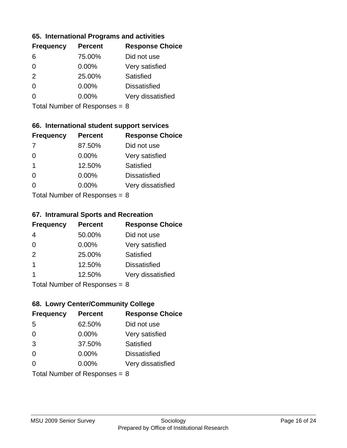#### **65. International Programs and activities**

| <b>Frequency</b> | <b>Percent</b> | <b>Response Choice</b> |
|------------------|----------------|------------------------|
| 6                | 75.00%         | Did not use            |
| 0                | $0.00\%$       | Very satisfied         |
| 2                | 25.00%         | Satisfied              |
| O                | $0.00\%$       | <b>Dissatisfied</b>    |
|                  | $0.00\%$       | Very dissatisfied      |
|                  |                |                        |

Total Number of Responses = 8

## **66. International student support services**

| <b>Frequency</b> | <b>Percent</b>             | <b>Response Choice</b> |
|------------------|----------------------------|------------------------|
|                  | 87.50%                     | Did not use            |
| $\Omega$         | 0.00%                      | Very satisfied         |
| $\overline{1}$   | 12.50%                     | Satisfied              |
| $\Omega$         | 0.00%                      | <b>Dissatisfied</b>    |
| ∩                | 0.00%                      | Very dissatisfied      |
|                  | Total Number of Deepersoon |                        |

Total Number of Responses = 8

#### **67. Intramural Sports and Recreation**

| <b>Frequency</b> | <b>Percent</b>                  | <b>Response Choice</b> |
|------------------|---------------------------------|------------------------|
| 4                | 50.00%                          | Did not use            |
| $\Omega$         | $0.00\%$                        | Very satisfied         |
| 2                | 25.00%                          | Satisfied              |
| -1               | 12.50%                          | <b>Dissatisfied</b>    |
|                  | 12.50%                          | Very dissatisfied      |
|                  | Total Number of Responses = $8$ |                        |

## **68. Lowry Center/Community College**

| <b>Frequency</b> | <b>Percent</b>                  | <b>Response Choice</b> |
|------------------|---------------------------------|------------------------|
| 5                | 62.50%                          | Did not use            |
| $\Omega$         | 0.00%                           | Very satisfied         |
| 3                | 37.50%                          | Satisfied              |
| $\Omega$         | 0.00%                           | <b>Dissatisfied</b>    |
| $\Omega$         | $0.00\%$                        | Very dissatisfied      |
|                  | Total Number of Responses = $8$ |                        |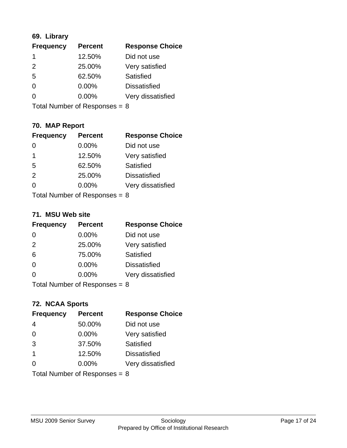## **69. Library**

| <b>Frequency</b> | <b>Percent</b> | <b>Response Choice</b> |
|------------------|----------------|------------------------|
|                  | 12.50%         | Did not use            |
| $\mathcal{P}$    | 25.00%         | Very satisfied         |
| 5                | 62.50%         | Satisfied              |
| 0                | $0.00\%$       | <b>Dissatisfied</b>    |
|                  | $0.00\%$       | Very dissatisfied      |
|                  |                |                        |

Total Number of Responses = 8

## **70. MAP Report**

| <b>Frequency</b> | <b>Percent</b>                  | <b>Response Choice</b> |
|------------------|---------------------------------|------------------------|
|                  | 0.00%                           | Did not use            |
| 1                | 12.50%                          | Very satisfied         |
| 5                | 62.50%                          | Satisfied              |
| 2                | 25.00%                          | <b>Dissatisfied</b>    |
| ∩                | $0.00\%$                        | Very dissatisfied      |
|                  | Total Number of Responses = $8$ |                        |

#### **71. MSU Web site**

| <b>Frequency</b> | <b>Percent</b>                  | <b>Response Choice</b> |
|------------------|---------------------------------|------------------------|
| $\Omega$         | 0.00%                           | Did not use            |
| 2                | 25.00%                          | Very satisfied         |
| 6                | 75.00%                          | Satisfied              |
| $\Omega$         | 0.00%                           | <b>Dissatisfied</b>    |
| ∩                | 0.00%                           | Very dissatisfied      |
|                  | Total Number of Responses = $8$ |                        |

## **72. NCAA Sports**

| <b>Frequency</b> | <b>Percent</b>                  | <b>Response Choice</b> |
|------------------|---------------------------------|------------------------|
| 4                | 50.00%                          | Did not use            |
| $\Omega$         | 0.00%                           | Very satisfied         |
| 3                | 37.50%                          | Satisfied              |
| -1               | 12.50%                          | <b>Dissatisfied</b>    |
| ∩                | $0.00\%$                        | Very dissatisfied      |
|                  | Total Number of Responses = $8$ |                        |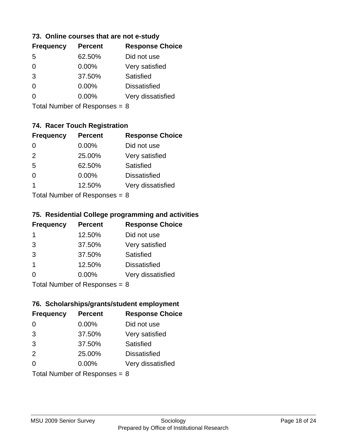#### **73. Online courses that are not e-study**

| <b>Frequency</b> | <b>Percent</b> | <b>Response Choice</b> |
|------------------|----------------|------------------------|
| 5                | 62.50%         | Did not use            |
| 0                | 0.00%          | Very satisfied         |
| 3                | 37.50%         | Satisfied              |
| 0                | $0.00\%$       | <b>Dissatisfied</b>    |
|                  | $0.00\%$       | Very dissatisfied      |
|                  |                |                        |

Total Number of Responses = 8

## **74. Racer Touch Registration**

| <b>Frequency</b> | <b>Percent</b>             | <b>Response Choice</b> |
|------------------|----------------------------|------------------------|
| 0                | 0.00%                      | Did not use            |
| 2                | 25.00%                     | Very satisfied         |
| -5               | 62.50%                     | <b>Satisfied</b>       |
| 0                | 0.00%                      | <b>Dissatisfied</b>    |
| 1                | 12.50%                     | Very dissatisfied      |
|                  | Tatal Number of Desperance |                        |

Total Number of Responses  $= 8$ 

#### **75. Residential College programming and activities**

| <b>Frequency</b> | <b>Percent</b>             | <b>Response Choice</b> |
|------------------|----------------------------|------------------------|
| -1               | 12.50%                     | Did not use            |
| 3                | 37.50%                     | Very satisfied         |
| 3                | 37.50%                     | Satisfied              |
| -1               | 12.50%                     | <b>Dissatisfied</b>    |
| $\Omega$         | 0.00%                      | Very dissatisfied      |
|                  | Total Number of Deepersoon | o                      |

Total Number of Responses = 8

## **76. Scholarships/grants/student employment**

| <b>Frequency</b> | <b>Percent</b>                  | <b>Response Choice</b> |
|------------------|---------------------------------|------------------------|
| 0                | 0.00%                           | Did not use            |
| 3                | 37.50%                          | Very satisfied         |
| 3                | 37.50%                          | Satisfied              |
| 2                | 25.00%                          | <b>Dissatisfied</b>    |
| $\Omega$         | $0.00\%$                        | Very dissatisfied      |
|                  | Total Number of Responses = $8$ |                        |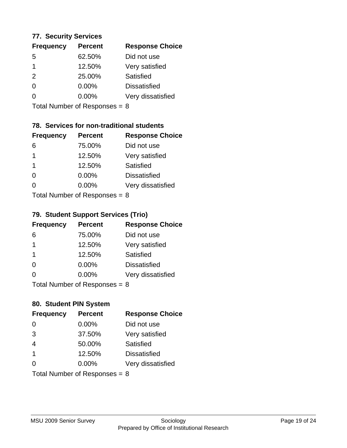#### **77. Security Services**

| <b>Frequency</b> | <b>Percent</b> | <b>Response Choice</b> |
|------------------|----------------|------------------------|
| 5                | 62.50%         | Did not use            |
|                  | 12.50%         | Very satisfied         |
| $\mathcal{P}$    | 25.00%         | Satisfied              |
| ∩                | $0.00\%$       | <b>Dissatisfied</b>    |
|                  | $0.00\%$       | Very dissatisfied      |
|                  |                |                        |

Total Number of Responses = 8

## **78. Services for non-traditional students**

| <b>Frequency</b>          | <b>Percent</b> | <b>Response Choice</b> |
|---------------------------|----------------|------------------------|
| 6                         | 75.00%         | Did not use            |
| 1                         | 12.50%         | Very satisfied         |
| $\mathbf 1$               | 12.50%         | Satisfied              |
| $\Omega$                  | 0.00%          | <b>Dissatisfied</b>    |
| ∩                         | 0.00%          | Very dissatisfied      |
| Total Number of Desponses |                |                        |

Total Number of Responses = 8

## **79. Student Support Services (Trio)**

| <b>Frequency</b>          | <b>Percent</b> | <b>Response Choice</b> |
|---------------------------|----------------|------------------------|
| 6                         | 75.00%         | Did not use            |
| -1                        | 12.50%         | Very satisfied         |
| $\overline{1}$            | 12.50%         | <b>Satisfied</b>       |
| $\Omega$                  | 0.00%          | <b>Dissatisfied</b>    |
| ∩                         | 0.00%          | Very dissatisfied      |
| Total Number of Desponses |                |                        |

Total Number of Responses = 8

## **80. Student PIN System**

| <b>Frequency</b>                | <b>Percent</b> | <b>Response Choice</b> |
|---------------------------------|----------------|------------------------|
| 0                               | 0.00%          | Did not use            |
| 3                               | 37.50%         | Very satisfied         |
| $\overline{4}$                  | 50.00%         | Satisfied              |
| -1                              | 12.50%         | <b>Dissatisfied</b>    |
| 0                               | $0.00\%$       | Very dissatisfied      |
| Total Number of Responses = $8$ |                |                        |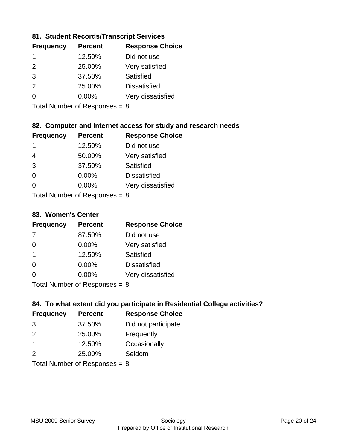## **81. Student Records/Transcript Services**

| <b>Frequency</b> | <b>Percent</b> | <b>Response Choice</b> |
|------------------|----------------|------------------------|
|                  | 12.50%         | Did not use            |
| $\mathcal{P}$    | 25.00%         | Very satisfied         |
| 3                | 37.50%         | Satisfied              |
| $\mathcal{P}$    | 25.00%         | <b>Dissatisfied</b>    |
| ∩                | $0.00\%$       | Very dissatisfied      |

Total Number of Responses = 8

## **82. Computer and Internet access for study and research needs**

| <b>Frequency</b> | <b>Percent</b>                                     | <b>Response Choice</b> |
|------------------|----------------------------------------------------|------------------------|
| 1                | 12.50%                                             | Did not use            |
| 4                | 50.00%                                             | Very satisfied         |
| 3                | 37.50%                                             | Satisfied              |
| $\Omega$         | 0.00%                                              | <b>Dissatisfied</b>    |
| $\Omega$         | 0.00%                                              | Very dissatisfied      |
|                  | $\tau$ and $\tau$ and $\tau$ and $\tau$ and $\tau$ |                        |

Total Number of Responses  $= 8$ 

#### **83. Women's Center**

| <b>Frequency</b> | <b>Percent</b>            | <b>Response Choice</b> |
|------------------|---------------------------|------------------------|
|                  | 87.50%                    | Did not use            |
| $\Omega$         | 0.00%                     | Very satisfied         |
| $\overline{1}$   | 12.50%                    | Satisfied              |
| $\Omega$         | 0.00%                     | <b>Dissatisfied</b>    |
| ∩                | 0.00%                     | Very dissatisfied      |
|                  | Total Number of Deepersee |                        |

Total Number of Responses = 8

## **84. To what extent did you participate in Residential College activities?**

| <b>Frequency</b> | <b>Percent</b>             | <b>Response Choice</b> |
|------------------|----------------------------|------------------------|
| 3                | 37.50%                     | Did not participate    |
| $\mathcal{P}$    | 25.00%                     | Frequently             |
| 1                | 12.50%                     | Occasionally           |
| $\mathcal{P}$    | 25.00%                     | Seldom                 |
|                  | Total Number of Desperance |                        |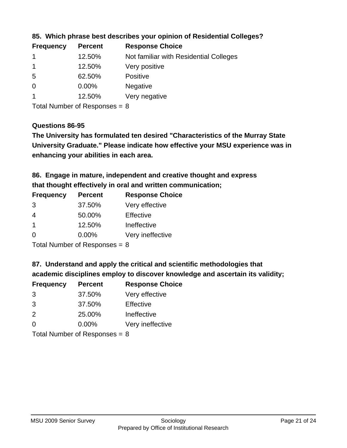| <b>Response Choice</b>                 |
|----------------------------------------|
| Not familiar with Residential Colleges |
| Very positive                          |
| <b>Positive</b>                        |
| <b>Negative</b>                        |
| Very negative                          |
|                                        |

**85. Which phrase best describes your opinion of Residential Colleges?**

Total Number of Responses = 8

#### **Questions 86-95**

**University Graduate." Please indicate how effective your MSU experience was in The University has formulated ten desired "Characteristics of the Murray State enhancing your abilities in each area.**

**86. Engage in mature, independent and creative thought and express that thought effectively in oral and written communication;**

| <b>Frequency</b> | <b>Percent</b> | <b>Response Choice</b> |
|------------------|----------------|------------------------|
| 3                | 37.50%         | Very effective         |
| 4                | 50.00%         | Effective              |
| 1                | 12.50%         | Ineffective            |
| O                | $0.00\%$       | Very ineffective       |

Total Number of Responses = 8

**87. Understand and apply the critical and scientific methodologies that** 

**academic disciplines employ to discover knowledge and ascertain its validity;**

| <b>Frequency</b> | <b>Percent</b> | <b>Response Choice</b> |
|------------------|----------------|------------------------|
| 3                | 37.50%         | Very effective         |
| 3                | 37.50%         | Effective              |
| $\mathcal{P}$    | 25.00%         | Ineffective            |
| $\Omega$         | 0.00%          | Very ineffective       |
|                  |                |                        |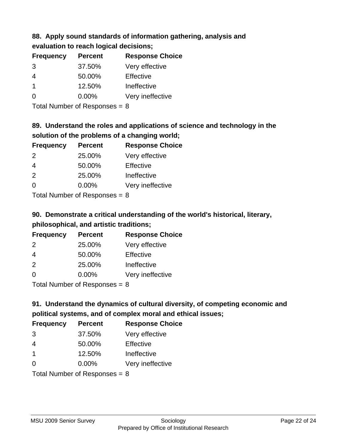## **88. Apply sound standards of information gathering, analysis and evaluation to reach logical decisions;**

| <b>Frequency</b>     | <b>Percent</b> | <b>Response Choice</b> |
|----------------------|----------------|------------------------|
| 3                    | 37.50%         | Very effective         |
| $\overline{4}$       | 50.00%         | Effective              |
| $\blacktriangleleft$ | 12.50%         | Ineffective            |
| $\Omega$             | 0.00%          | Very ineffective       |
|                      |                |                        |

Total Number of Responses = 8

# **89. Understand the roles and applications of science and technology in the solution of the problems of a changing world;**

| <b>Frequency</b> | <b>Percent</b> | <b>Response Choice</b> |
|------------------|----------------|------------------------|
| 2                | 25.00%         | Very effective         |
| $\overline{4}$   | 50.00%         | Effective              |
| 2                | 25.00%         | Ineffective            |
| $\Omega$         | 0.00%          | Very ineffective       |
|                  |                |                        |

Total Number of Responses  $= 8$ 

# **90. Demonstrate a critical understanding of the world's historical, literary, philosophical, and artistic traditions;**

| <b>Frequency</b> | <b>Percent</b> | <b>Response Choice</b> |
|------------------|----------------|------------------------|
| $\mathcal{P}$    | 25.00%         | Very effective         |
| $\overline{4}$   | 50.00%         | Effective              |
| 2                | 25.00%         | Ineffective            |
| $\Omega$         | 0.00%          | Very ineffective       |
|                  |                |                        |

Total Number of Responses = 8

# **91. Understand the dynamics of cultural diversity, of competing economic and political systems, and of complex moral and ethical issues;**

| <b>Frequency</b>                | <b>Percent</b> | <b>Response Choice</b> |
|---------------------------------|----------------|------------------------|
| 3                               | 37.50%         | Very effective         |
| $\overline{4}$                  | 50.00%         | Effective              |
| $\mathbf 1$                     | 12.50%         | Ineffective            |
| $\Omega$                        | 0.00%          | Very ineffective       |
| Total Number of Responses = $8$ |                |                        |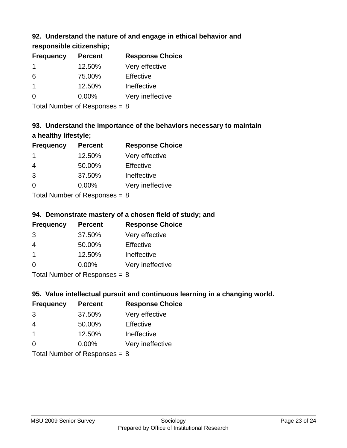## **92. Understand the nature of and engage in ethical behavior and**

**responsible citizenship;**

| <b>Frequency</b> | <b>Percent</b> | <b>Response Choice</b> |
|------------------|----------------|------------------------|
|                  | 12.50%         | Very effective         |
| 6                | 75.00%         | Effective              |
|                  | 12.50%         | Ineffective            |
| $\Omega$         | $0.00\%$       | Very ineffective       |
|                  |                |                        |

Total Number of Responses = 8

# **93. Understand the importance of the behaviors necessary to maintain a healthy lifestyle;**

| <b>Frequency</b> | <b>Percent</b>                                                                                                                                                                                                                 | <b>Response Choice</b> |
|------------------|--------------------------------------------------------------------------------------------------------------------------------------------------------------------------------------------------------------------------------|------------------------|
| -1               | 12.50%                                                                                                                                                                                                                         | Very effective         |
| 4                | 50.00%                                                                                                                                                                                                                         | Effective              |
| 3                | 37.50%                                                                                                                                                                                                                         | Ineffective            |
| $\Omega$         | 0.00%                                                                                                                                                                                                                          | Very ineffective       |
|                  | The Little and the Little Communist Communist Communist Communist Communist Communist Communist Communist Communist Communist Communist Communist Communist Communist Communist Communist Communist Communist Communist Commun |                        |

Total Number of Responses = 8

# **94. Demonstrate mastery of a chosen field of study; and**

| <b>Frequency</b> | <b>Percent</b> | <b>Response Choice</b> |
|------------------|----------------|------------------------|
| 3                | 37.50%         | Very effective         |
| 4                | 50.00%         | Effective              |
|                  | 12.50%         | Ineffective            |
| ∩                | $0.00\%$       | Very ineffective       |
|                  |                |                        |

Total Number of Responses = 8

## **95. Value intellectual pursuit and continuous learning in a changing world.**

| <b>Frequency</b> | <b>Percent</b> | <b>Response Choice</b> |
|------------------|----------------|------------------------|
| 3                | 37.50%         | Very effective         |
| 4                | 50.00%         | Effective              |
|                  | 12.50%         | Ineffective            |
| ∩                | 0.00%          | Very ineffective       |
|                  |                |                        |